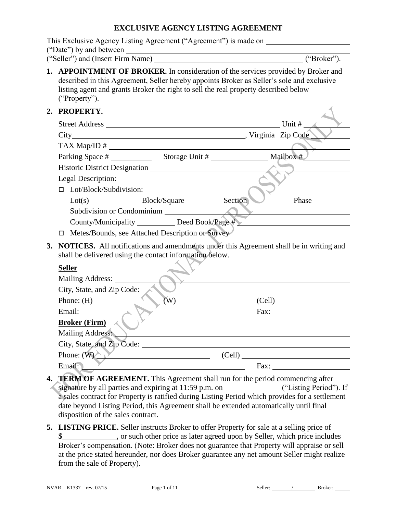#### **EXCLUSIVE AGENCY LISTING AGREEMENT**

|    | This Exclusive Agency Listing Agreement ("Agreement") is made on                                                                                                                                                                                                                       |                                   |
|----|----------------------------------------------------------------------------------------------------------------------------------------------------------------------------------------------------------------------------------------------------------------------------------------|-----------------------------------|
|    | ("Seller") and (Insert Firm Name)                                                                                                                                                                                                                                                      | ("Broker").                       |
|    | 1. APPOINTMENT OF BROKER. In consideration of the services provided by Broker and<br>described in this Agreement, Seller hereby appoints Broker as Seller's sole and exclusive<br>listing agent and grants Broker the right to sell the real property described below<br>("Property"). |                                   |
|    | 2. PROPERTY.                                                                                                                                                                                                                                                                           |                                   |
|    |                                                                                                                                                                                                                                                                                        |                                   |
|    |                                                                                                                                                                                                                                                                                        |                                   |
|    |                                                                                                                                                                                                                                                                                        |                                   |
|    | Parking Space $\#$ Storage Unit $\#$ Mailbox $\#$                                                                                                                                                                                                                                      |                                   |
|    |                                                                                                                                                                                                                                                                                        |                                   |
|    | Legal Description:                                                                                                                                                                                                                                                                     |                                   |
|    | Lot/Block/Subdivision:<br>п.                                                                                                                                                                                                                                                           |                                   |
|    |                                                                                                                                                                                                                                                                                        |                                   |
|    | Subdivision or Condominium                                                                                                                                                                                                                                                             |                                   |
|    | County/Municipality _________ Deed Book/Page #                                                                                                                                                                                                                                         |                                   |
|    | □ Metes/Bounds, see Attached Description or Survey                                                                                                                                                                                                                                     |                                   |
| 3. | NOTICES. All notifications and amendments under this Agreement shall be in writing and<br>shall be delivered using the contact information below.                                                                                                                                      |                                   |
|    | <b>Seller</b>                                                                                                                                                                                                                                                                          |                                   |
|    | Mailing Address:                                                                                                                                                                                                                                                                       |                                   |
|    | City, State, and Zip Code:                                                                                                                                                                                                                                                             |                                   |
|    |                                                                                                                                                                                                                                                                                        | $(Cell)$ $\qquad \qquad$ $(Cell)$ |
|    | Email:                                                                                                                                                                                                                                                                                 | Fax: $\qquad \qquad$              |
|    | <b>Broker (Firm)</b> $\land$                                                                                                                                                                                                                                                           |                                   |
|    | Mailing Address:                                                                                                                                                                                                                                                                       |                                   |
|    | City, State, and Zip Code:                                                                                                                                                                                                                                                             |                                   |
|    | Phone: $(W)$                                                                                                                                                                                                                                                                           | (Cell)                            |
|    | Email:                                                                                                                                                                                                                                                                                 | Fax:                              |
| 4. | <b>TERM OF AGREEMENT.</b> This Agreement shall run for the period commencing after<br>signature by all parties and expiring at 11:59 p.m. on ________________("Listing Period"). If<br>a sales contract for Property is ratified during Listing Period which provides for a settlement |                                   |

- date beyond Listing Period, this Agreement shall be extended automatically until final disposition of the sales contract.
- **5. LISTING PRICE.** Seller instructs Broker to offer Property for sale at a selling price of \$ Broker's compensation. (Note: Broker does not guarantee that Property will appraise or sell at the price stated hereunder, nor does Broker guarantee any net amount Seller might realize from the sale of Property).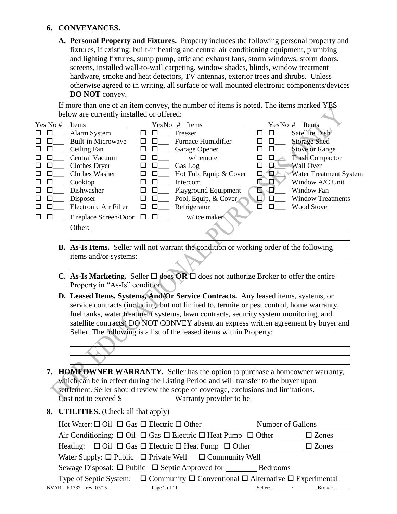#### **6. CONVEYANCES.**

**A. Personal Property and Fixtures.** Property includes the following personal property and fixtures, if existing: built-in heating and central air conditioning equipment, plumbing and lighting fixtures, sump pump, attic and exhaust fans, storm windows, storm doors, screens, installed wall-to-wall carpeting, window shades, blinds, window treatment hardware, smoke and heat detectors, TV antennas, exterior trees and shrubs. Unless otherwise agreed to in writing, all surface or wall mounted electronic components/devices **DO NOT** convey.

If more than one of an item convey, the number of items is noted. The items marked YES below are currently installed or offered:

| Yes No#      | Items                        | $YesNo$ #    | Items                  |    | YesNo# | Items                         |
|--------------|------------------------------|--------------|------------------------|----|--------|-------------------------------|
| □            | Alarm System                 | ப            | Freezer                |    | ப      | Satellite Dish                |
|              | <b>Built-in Microwave</b>    |              | Furnace Humidifier     |    |        | <b>Storage Shed</b>           |
| ப            | Ceiling Fan                  | $\mathbf{L}$ | Garage Opener          |    | ப      | <b>Stove or Range</b>         |
|              | Central Vacuum               |              | w/remote               |    |        | <b>Trash Compactor</b>        |
| ப            | Clothes Dryer                | ப            | Gas Log                |    | ß      | <b>Wall Oven</b>              |
|              | <b>Clothes Washer</b>        | $\mathsf{L}$ | Hot Tub, Equip & Cover |    | D      | <b>Water Treatment System</b> |
| $\mathsf{L}$ | Cooktop                      | H            | Intercom               |    | Đ,     | Window A/C Unit               |
|              | Dishwasher                   | ப            | Playground Equipment   | N  | ▱      | Window Fan                    |
|              | Disposer                     | □            | Pool, Equip, & Cover   | О. | 0      | <b>Window Treatments</b>      |
| ப            | Electronic Air Filter        | ப            | Refrigerator           |    | П      | <b>Wood Stove</b>             |
|              | Fireplace Screen/Door $\Box$ | ш            | w/ice maker            |    |        |                               |
|              | Other:                       |              |                        |    |        |                               |
|              |                              |              |                        |    |        |                               |

- **B. As-Is Items.** Seller will not warrant the condition or working order of the following items and/or systems:
- **C.** As-Is Marketing. Seller  $\Box$  does  $\overrightarrow{OR}$   $\overrightarrow{O}$  does not authorize Broker to offer the entire Property in "As-Is" condition.
- **D. Leased Items, Systems, And/Or Service Contracts.** Any leased items, systems, or service contracts (including, but not limited to, termite or pest control, home warranty, fuel tanks, water treatment systems, lawn contracts, security system monitoring, and satellite contracts) DO NOT CONVEY absent an express written agreement by buyer and Seller. The following is a list of the leased items within Property:

- **7. HOMEOWNER WARRANTY.** Seller has the option to purchase a homeowner warranty, which can be in effect during the Listing Period and will transfer to the buyer upon settlement. Seller should review the scope of coverage, exclusions and limitations. Cost not to exceed \$ Warranty provider to be
- **8. UTILITIES.** (Check all that apply)

|                           | Hot Water: $\Box$ Oil $\Box$ Gas $\Box$ Electric $\Box$ Other                                      | Number of Gallons |
|---------------------------|----------------------------------------------------------------------------------------------------|-------------------|
|                           | Air Conditioning: $\Box$ Oil $\Box$ Gas $\Box$ Electric $\Box$ Heat Pump $\Box$ Other $\Box$ Zones |                   |
|                           | Heating: $\Box$ Oil $\Box$ Gas $\Box$ Electric $\Box$ Heat Pump $\Box$ Other $\Box$ Zones          |                   |
|                           | Water Supply: $\Box$ Public $\Box$ Private Well $\Box$ Community Well                              |                   |
|                           |                                                                                                    |                   |
|                           | Type of Septic System: $\Box$ Community $\Box$ Conventional $\Box$ Alternative $\Box$ Experimental |                   |
| NVAR – K1337 – rev. 07/15 | Page 2 of 11                                                                                       |                   |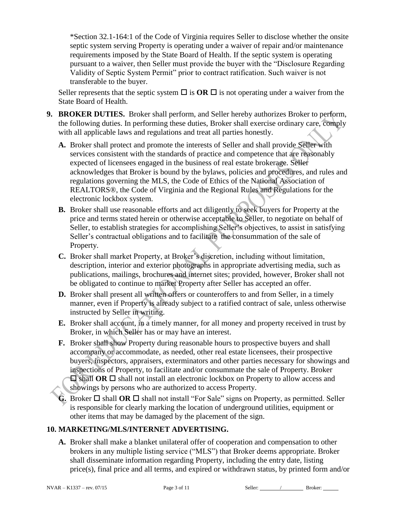\*Section 32.1-164:1 of the Code of Virginia requires Seller to disclose whether the onsite septic system serving Property is operating under a waiver of repair and/or maintenance requirements imposed by the State Board of Health. If the septic system is operating pursuant to a waiver, then Seller must provide the buyer with the "Disclosure Regarding Validity of Septic System Permit" prior to contract ratification. Such waiver is not transferable to the buyer.

Seller represents that the septic system  $\Box$  is **OR**  $\Box$  is not operating under a waiver from the State Board of Health.

- **9. BROKER DUTIES.** Broker shall perform, and Seller hereby authorizes Broker to perform, the following duties. In performing these duties, Broker shall exercise ordinary care, comply with all applicable laws and regulations and treat all parties honestly.
	- **A.** Broker shall protect and promote the interests of Seller and shall provide Seller with services consistent with the standards of practice and competence that are reasonably expected of licensees engaged in the business of real estate brokerage. Seller acknowledges that Broker is bound by the bylaws, policies and procedures, and rules and regulations governing the MLS, the Code of Ethics of the National Association of REALTORS®, the Code of Virginia and the Regional Rules and Regulations for the electronic lockbox system.
	- **B.** Broker shall use reasonable efforts and act diligently to seek buyers for Property at the price and terms stated herein or otherwise acceptable to Seller, to negotiate on behalf of Seller, to establish strategies for accomplishing Seller's objectives, to assist in satisfying Seller's contractual obligations and to facilitate the consummation of the sale of Property.
	- **C.** Broker shall market Property, at Broker's discretion, including without limitation, description, interior and exterior photographs in appropriate advertising media, such as publications, mailings, brochures and internet sites; provided, however, Broker shall not be obligated to continue to market Property after Seller has accepted an offer.
	- **D.** Broker shall present all written offers or counteroffers to and from Seller, in a timely manner, even if Property is already subject to a ratified contract of sale, unless otherwise instructed by Seller in writing.
	- **E.** Broker shall account, in a timely manner, for all money and property received in trust by Broker, in which Seller has or may have an interest.
	- **F.** Broker shall show Property during reasonable hours to prospective buyers and shall accompany or accommodate, as needed, other real estate licensees, their prospective buyers, inspectors, appraisers, exterminators and other parties necessary for showings and inspections of Property, to facilitate and/or consummate the sale of Property. Broker  $\Box$  shall **OR**  $\Box$  shall not install an electronic lockbox on Property to allow access and showings by persons who are authorized to access Property.
	- **G.** Broker  $\Box$  shall **OR**  $\Box$  shall not install "For Sale" signs on Property, as permitted. Seller is responsible for clearly marking the location of underground utilities, equipment or other items that may be damaged by the placement of the sign.

# **10. MARKETING/MLS/INTERNET ADVERTISING.**

**A.** Broker shall make a blanket unilateral offer of cooperation and compensation to other brokers in any multiple listing service ("MLS") that Broker deems appropriate. Broker shall disseminate information regarding Property, including the entry date, listing price(s), final price and all terms, and expired or withdrawn status, by printed form and/or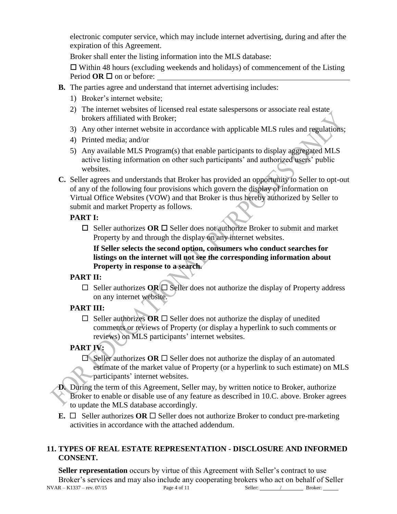electronic computer service, which may include internet advertising, during and after the expiration of this Agreement.

Broker shall enter the listing information into the MLS database:

 $\Box$  Within 48 hours (excluding weekends and holidays) of commencement of the Listing Period  $OR \square$  on or before:

- **B.** The parties agree and understand that internet advertising includes:
	- 1) Broker's internet website;
	- 2) The internet websites of licensed real estate salespersons or associate real estate brokers affiliated with Broker;
	- 3) Any other internet website in accordance with applicable MLS rules and regulations;
	- 4) Printed media; and/or
	- 5) Any available MLS Program(s) that enable participants to display aggregated MLS active listing information on other such participants' and authorized users' public websites.
- **C.** Seller agrees and understands that Broker has provided an opportunity to Seller to opt-out of any of the following four provisions which govern the display of information on Virtual Office Websites (VOW) and that Broker is thus hereby authorized by Seller to submit and market Property as follows.

# **PART I:**

 $\Box$  Seller authorizes **OR**  $\Box$  Seller does not authorize Broker to submit and market Property by and through the display on any internet websites.

**If Seller selects the second option, consumers who conduct searches for listings on the internet will not see the corresponding information about Property in response to a search.**

## **PART II:**

 $\Box$  Seller authorizes OR  $\Box$  Seller does not authorize the display of Property address on any internet website.

# **PART III:**

 $\Box$  Seller authorizes OR  $\Box$  Seller does not authorize the display of unedited comments or reviews of Property (or display a hyperlink to such comments or reviews) on MLS participants' internet websites.

# **PART IV:**

- $\Box$  Seller authorizes OR  $\Box$  Seller does not authorize the display of an automated estimate of the market value of Property (or a hyperlink to such estimate) on MLS participants' internet websites.
- **D.** During the term of this Agreement, Seller may, by written notice to Broker, authorize Broker to enable or disable use of any feature as described in 10.C. above. Broker agrees to update the MLS database accordingly.
- **E.**  $\Box$  Seller authorizes **OR**  $\Box$  Seller does not authorize Broker to conduct pre-marketing activities in accordance with the attached addendum.

## **11. TYPES OF REAL ESTATE REPRESENTATION - DISCLOSURE AND INFORMED CONSENT.**

NVAR – K1337 – rev. 07/15 Page 4 of 11 Seller: / Broker: **Seller representation** occurs by virtue of this Agreement with Seller's contract to use Broker's services and may also include any cooperating brokers who act on behalf of Seller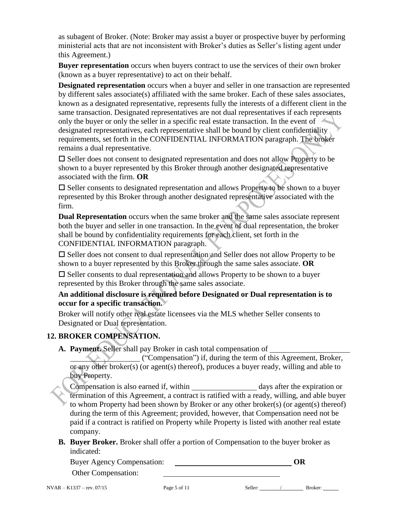as subagent of Broker. (Note: Broker may assist a buyer or prospective buyer by performing ministerial acts that are not inconsistent with Broker's duties as Seller's listing agent under this Agreement.)

**Buyer representation** occurs when buyers contract to use the services of their own broker (known as a buyer representative) to act on their behalf.

**Designated representation** occurs when a buyer and seller in one transaction are represented by different sales associate(s) affiliated with the same broker. Each of these sales associates, known as a designated representative, represents fully the interests of a different client in the same transaction. Designated representatives are not dual representatives if each represents only the buyer or only the seller in a specific real estate transaction. In the event of designated representatives, each representative shall be bound by client confidentiality requirements, set forth in the CONFIDENTIAL INFORMATION paragraph. The broker remains a dual representative.

 $\square$  Seller does not consent to designated representation and does not allow Property to be shown to a buyer represented by this Broker through another designated representative associated with the firm. **OR**

 $\square$  Seller consents to designated representation and allows Property to be shown to a buyer represented by this Broker through another designated representative associated with the firm.

**Dual Representation** occurs when the same broker and the same sales associate represent both the buyer and seller in one transaction. In the event of dual representation, the broker shall be bound by confidentiality requirements for each client, set forth in the CONFIDENTIAL INFORMATION paragraph.

 $\square$  Seller does not consent to dual representation and Seller does not allow Property to be shown to a buyer represented by this Broker through the same sales associate. **OR**

 $\square$  Seller consents to dual representation and allows Property to be shown to a buyer represented by this Broker through the same sales associate.

# **An additional disclosure is required before Designated or Dual representation is to occur for a specific transaction.**

Broker will notify other real estate licensees via the MLS whether Seller consents to Designated or Dual representation.

# **12. BROKER COMPENSATION.**

**A. Payment.** Seller shall pay Broker in cash total compensation of

("Compensation") if, during the term of this Agreement, Broker, or any other broker(s) (or agent(s) thereof), produces a buyer ready, willing and able to buy Property.

Compensation is also earned if, within \_\_\_\_\_\_\_\_\_\_\_\_\_\_\_\_\_\_\_\_\_ days after the expiration or termination of this Agreement, a contract is ratified with a ready, willing, and able buyer to whom Property had been shown by Broker or any other broker(s) (or agent(s) thereof) during the term of this Agreement; provided, however, that Compensation need not be paid if a contract is ratified on Property while Property is listed with another real estate company.

**B. Buyer Broker.** Broker shall offer a portion of Compensation to the buyer broker as indicated:

Buyer Agency Compensation: **OR** Other Compensation: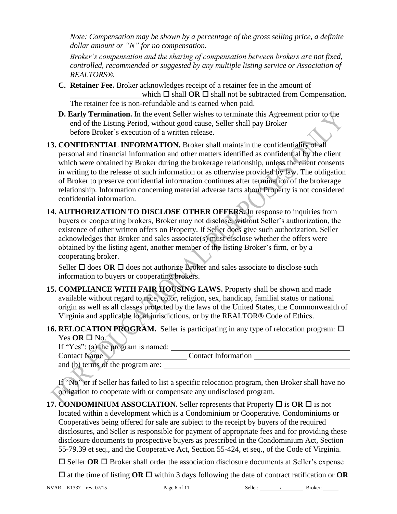*Note: Compensation may be shown by a percentage of the gross selling price, a definite dollar amount or "N" for no compensation.*

*Broker's compensation and the sharing of compensation between brokers are not fixed, controlled, recommended or suggested by any multiple listing service or Association of REALTORS®.*

- **C. Retainer Fee.** Broker acknowledges receipt of a retainer fee in the amount of which  $\Box$  shall **OR**  $\Box$  shall not be subtracted from Compensation. The retainer fee is non-refundable and is earned when paid.
- **D. Early Termination.** In the event Seller wishes to terminate this Agreement prior to the end of the Listing Period, without good cause, Seller shall pay Broker before Broker's execution of a written release.

**13. CONFIDENTIAL INFORMATION.** Broker shall maintain the confidentiality of all personal and financial information and other matters identified as confidential by the client which were obtained by Broker during the brokerage relationship, unless the client consents in writing to the release of such information or as otherwise provided by law. The obligation of Broker to preserve confidential information continues after termination of the brokerage relationship. Information concerning material adverse facts about Property is not considered confidential information.

**14. AUTHORIZATION TO DISCLOSE OTHER OFFERS.** In response to inquiries from buyers or cooperating brokers, Broker may not disclose, without Seller's authorization, the existence of other written offers on Property. If Seller does give such authorization, Seller acknowledges that Broker and sales associate(s) must disclose whether the offers were obtained by the listing agent, another member of the listing Broker's firm, or by a cooperating broker.

Seller  $\Box$  does OR  $\Box$  does not authorize Broker and sales associate to disclose such information to buyers or cooperating brokers.

**15. COMPLIANCE WITH FAIR HOUSING LAWS.** Property shall be shown and made available without regard to race, color, religion, sex, handicap, familial status or national origin as well as all classes protected by the laws of the United States, the Commonwealth of Virginia and applicable local jurisdictions, or by the REALTOR® Code of Ethics.

# **16. RELOCATION PROGRAM.** Seller is participating in any type of relocation program:  $\Box$  $Yes$  OR  $\square$  No.

If "Yes": (a) the program is named:

| <b>Contact Name</b>               | Contact Information |  |
|-----------------------------------|---------------------|--|
| and (b) terms of the program are: |                     |  |

If "No" or if Seller has failed to list a specific relocation program, then Broker shall have no obligation to cooperate with or compensate any undisclosed program.

**17. CONDOMINIUM ASSOCIATION.** Seller represents that Property  $\Box$  is  $\overline{OR}$   $\Box$  is not located within a development which is a Condominium or Cooperative. Condominiums or Cooperatives being offered for sale are subject to the receipt by buyers of the required disclosures, and Seller is responsible for payment of appropriate fees and for providing these disclosure documents to prospective buyers as prescribed in the Condominium Act, Section 55-79.39 et seq., and the Cooperative Act, Section 55-424, et seq., of the Code of Virginia.

 $\Box$  Seller **OR**  $\Box$  Broker shall order the association disclosure documents at Seller's expense

 $\Box$  at the time of listing **OR**  $\Box$  within 3 days following the date of contract ratification or **OR**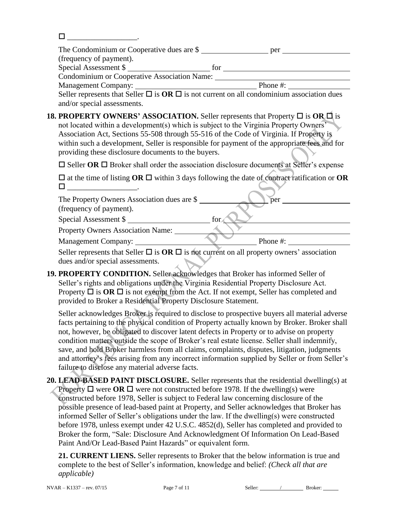| The Condominium or Cooperative dues are \$ |     | per |  |
|--------------------------------------------|-----|-----|--|
| (frequency of payment).                    |     |     |  |
| Special Assessment \$                      | ror |     |  |

Condominium or Cooperative Association Name:

Management Company: Phone #:

Seller represents that Seller  $\Box$  is  $OR \Box$  is not current on all condominium association dues and/or special assessments.

**18. PROPERTY OWNERS' ASSOCIATION.** Seller represents that Property  $\Box$  is OR  $\Box$  is not located within a development(s) which is subject to the Virginia Property Owners' Association Act, Sections 55-508 through 55-516 of the Code of Virginia. If Property is within such a development, Seller is responsible for payment of the appropriate fees and for providing these disclosure documents to the buyers.

 $\square$  Seller **OR**  $\square$  Broker shall order the association disclosure documents at Seller's expense

 $\Box$  at the time of listing **OR**  $\Box$  within 3 days following the date of contract ratification or **OR**  $\Box$ 

The Property Owners Association dues are \$

(frequency of payment).

Special Assessment \$

Property Owners Association Name:

Management Company: Phone #:

Seller represents that Seller  $\Box$  is  $OR \Box$  is not current on all property owners' association dues and/or special assessments.

**19. PROPERTY CONDITION.** Seller acknowledges that Broker has informed Seller of Seller's rights and obligations under the Virginia Residential Property Disclosure Act. Property  $\Box$  is  $OR \Box$  is not exempt from the Act. If not exempt, Seller has completed and provided to Broker a Residential Property Disclosure Statement.

Seller acknowledges Broker is required to disclose to prospective buyers all material adverse facts pertaining to the physical condition of Property actually known by Broker. Broker shall not, however, be obligated to discover latent defects in Property or to advise on property condition matters outside the scope of Broker's real estate license. Seller shall indemnify, save, and hold Broker harmless from all claims, complaints, disputes, litigation, judgments and attorney's fees arising from any incorrect information supplied by Seller or from Seller's failure to disclose any material adverse facts.

**20. LEAD-BASED PAINT DISCLOSURE.** Seller represents that the residential dwelling(s) at Property  $\Box$  were **OR**  $\Box$  were not constructed before 1978. If the dwelling(s) were constructed before 1978, Seller is subject to Federal law concerning disclosure of the possible presence of lead-based paint at Property, and Seller acknowledges that Broker has informed Seller of Seller's obligations under the law. If the dwelling(s) were constructed before 1978, unless exempt under 42 U.S.C. 4852(d), Seller has completed and provided to Broker the form, "Sale: Disclosure And Acknowledgment Of Information On Lead-Based Paint And/Or Lead-Based Paint Hazards" or equivalent form.

**21. CURRENT LIENS.** Seller represents to Broker that the below information is true and complete to the best of Seller's information, knowledge and belief: *(Check all that are applicable)*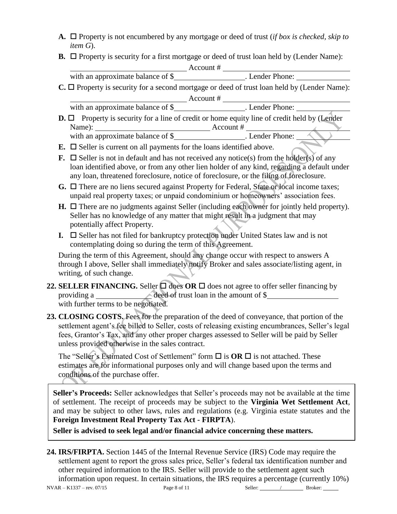- **A.** Property is not encumbered by any mortgage or deed of trust (*if box is checked, skip to item G*).
- **B.**  $\Box$  Property is security for a first mortgage or deed of trust loan held by (Lender Name):

|                                   | Account # |                                                                  |  |
|-----------------------------------|-----------|------------------------------------------------------------------|--|
| with an approximate balance of \$ |           | . Lender Phone:                                                  |  |
| . . <del>.</del>                  |           | $\mathbf{1}$ $\mathbf{1}$ $\mathbf{1}$ $\mathbf{1}$ $\mathbf{1}$ |  |

 $\mathbb{C}.$   $\Box$  Property is security for a second mortgage or deed of trust loan held by (Lender Name): Account #

with an approximate balance of \$ . Lender Phone:

- **D.**  $\Box$  Property is security for a line of credit or home equity line of credit held by (Lender Name): Account # with an approximate balance of \$\_\_\_\_\_\_\_\_\_\_\_\_\_\_\_\_\_\_\_\_\_. Lender Phone:
- **E.**  $\Box$  Seller is current on all payments for the loans identified above.
- **F.**  $\Box$  Seller is not in default and has not received any notice(s) from the holder(s) of any loan identified above, or from any other lien holder of any kind, regarding a default under any loan, threatened foreclosure, notice of foreclosure, or the filing of foreclosure.
- $G. \Box$  There are no liens secured against Property for Federal, State or local income taxes; unpaid real property taxes; or unpaid condominium or homeowners' association fees.
- $H. \Box$  There are no judgments against Seller (including each owner for jointly held property). Seller has no knowledge of any matter that might result in a judgment that may potentially affect Property.
- **I.**  $\Box$  Seller has not filed for bankruptcy protection under United States law and is not contemplating doing so during the term of this Agreement.

During the term of this Agreement, should any change occur with respect to answers A through I above, Seller shall immediately notify Broker and sales associate/listing agent, in writing, of such change.

- **22. SELLER FINANCING.** Seller  $\Box$  does OR  $\Box$  does not agree to offer seller financing by providing a deed of trust loan in the amount of \$ with further terms to be negotiated.
- **23. CLOSING COSTS.** Fees for the preparation of the deed of conveyance, that portion of the settlement agent's fee billed to Seller, costs of releasing existing encumbrances, Seller's legal fees, Grantor's Tax, and any other proper charges assessed to Seller will be paid by Seller unless provided otherwise in the sales contract.

The "Seller's Estimated Cost of Settlement" form  $\Box$  is **OR**  $\Box$  is not attached. These estimates are for informational purposes only and will change based upon the terms and conditions of the purchase offer.

**Seller's Proceeds:** Seller acknowledges that Seller's proceeds may not be available at the time of settlement. The receipt of proceeds may be subject to the **Virginia Wet Settlement Act**, and may be subject to other laws, rules and regulations (e.g. Virginia estate statutes and the **Foreign Investment Real Property Tax Act - FIRPTA**).

**Seller is advised to seek legal and/or financial advice concerning these matters.**

NVAR – K1337 – rev. 07/15 Page 8 of 11 Seller: / Broker: <u>June</u> Broker: <u>June 1986</u> **24. IRS/FIRPTA.** Section 1445 of the Internal Revenue Service (IRS) Code may require the settlement agent to report the gross sales price, Seller's federal tax identification number and other required information to the IRS. Seller will provide to the settlement agent such information upon request. In certain situations, the IRS requires a percentage (currently 10%)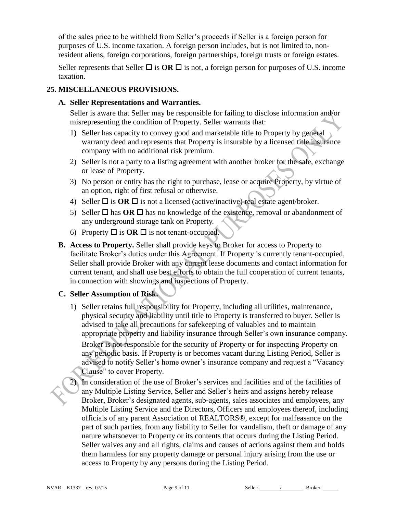of the sales price to be withheld from Seller's proceeds if Seller is a foreign person for purposes of U.S. income taxation. A foreign person includes, but is not limited to, nonresident aliens, foreign corporations, foreign partnerships, foreign trusts or foreign estates.

Seller represents that Seller  $\Box$  is  $OR \Box$  is not, a foreign person for purposes of U.S. income taxation.

#### **25. MISCELLANEOUS PROVISIONS.**

#### **A. Seller Representations and Warranties.**

Seller is aware that Seller may be responsible for failing to disclose information and/or misrepresenting the condition of Property. Seller warrants that:

- 1) Seller has capacity to convey good and marketable title to Property by general warranty deed and represents that Property is insurable by a licensed title insurance company with no additional risk premium.
- 2) Seller is not a party to a listing agreement with another broker for the sale, exchange or lease of Property.
- 3) No person or entity has the right to purchase, lease or acquire Property, by virtue of an option, right of first refusal or otherwise.
- 4) Seller  $\Box$  is **OR**  $\Box$  is not a licensed (active/inactive) real estate agent/broker.
- 5) Seller  $\Box$  has **OR**  $\Box$  has no knowledge of the existence, removal or abandonment of any underground storage tank on Property.
- 6) Property  $\Box$  is **OR**  $\Box$  is not tenant-occupied.
- **B. Access to Property.** Seller shall provide keys to Broker for access to Property to facilitate Broker's duties under this Agreement. If Property is currently tenant-occupied, Seller shall provide Broker with any current lease documents and contact information for current tenant, and shall use best efforts to obtain the full cooperation of current tenants, in connection with showings and inspections of Property.

#### **C. Seller Assumption of Risk.**

1) Seller retains full responsibility for Property, including all utilities, maintenance, physical security and liability until title to Property is transferred to buyer. Seller is advised to take all precautions for safekeeping of valuables and to maintain appropriate property and liability insurance through Seller's own insurance company. Broker is not responsible for the security of Property or for inspecting Property on any periodic basis. If Property is or becomes vacant during Listing Period, Seller is advised to notify Seller's home owner's insurance company and request a "Vacancy Clause" to cover Property.

2) In consideration of the use of Broker's services and facilities and of the facilities of any Multiple Listing Service, Seller and Seller's heirs and assigns hereby release Broker, Broker's designated agents, sub-agents, sales associates and employees, any Multiple Listing Service and the Directors, Officers and employees thereof, including officials of any parent Association of REALTORS®, except for malfeasance on the part of such parties, from any liability to Seller for vandalism, theft or damage of any nature whatsoever to Property or its contents that occurs during the Listing Period. Seller waives any and all rights, claims and causes of actions against them and holds them harmless for any property damage or personal injury arising from the use or access to Property by any persons during the Listing Period.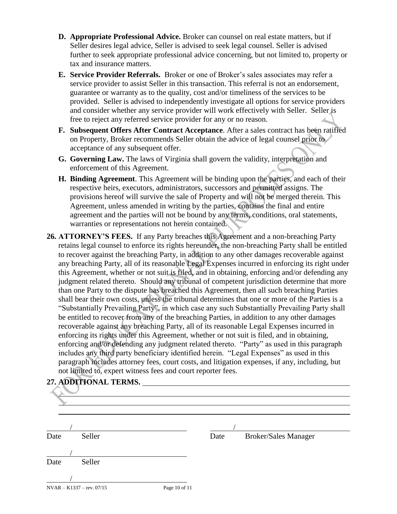- **D. Appropriate Professional Advice.** Broker can counsel on real estate matters, but if Seller desires legal advice, Seller is advised to seek legal counsel. Seller is advised further to seek appropriate professional advice concerning, but not limited to, property or tax and insurance matters.
- **E. Service Provider Referrals.** Broker or one of Broker's sales associates may refer a service provider to assist Seller in this transaction. This referral is not an endorsement, guarantee or warranty as to the quality, cost and/or timeliness of the services to be provided. Seller is advised to independently investigate all options for service providers and consider whether any service provider will work effectively with Seller. Seller is free to reject any referred service provider for any or no reason.
- **F. Subsequent Offers After Contract Acceptance**. After a sales contract has been ratified on Property, Broker recommends Seller obtain the advice of legal counsel prior to acceptance of any subsequent offer.
- **G. Governing Law.** The laws of Virginia shall govern the validity, interpretation and enforcement of this Agreement.
- **H. Binding Agreement**. This Agreement will be binding upon the parties, and each of their respective heirs, executors, administrators, successors and permitted assigns. The provisions hereof will survive the sale of Property and will not be merged therein. This Agreement, unless amended in writing by the parties, contains the final and entire agreement and the parties will not be bound by any terms, conditions, oral statements, warranties or representations not herein contained.
- **26. ATTORNEY'S FEES.** If any Party breaches this Agreement and a non-breaching Party retains legal counsel to enforce its rights hereunder, the non-breaching Party shall be entitled to recover against the breaching Party, in addition to any other damages recoverable against any breaching Party, all of its reasonable Legal Expenses incurred in enforcing its right under this Agreement, whether or not suit is filed, and in obtaining, enforcing and/or defending any judgment related thereto. Should any tribunal of competent jurisdiction determine that more than one Party to the dispute has breached this Agreement, then all such breaching Parties shall bear their own costs, unless the tribunal determines that one or more of the Parties is a "Substantially Prevailing Party", in which case any such Substantially Prevailing Party shall be entitled to recover from any of the breaching Parties, in addition to any other damages recoverable against any breaching Party, all of its reasonable Legal Expenses incurred in enforcing its rights under this Agreement, whether or not suit is filed, and in obtaining, enforcing and/or defending any judgment related thereto. "Party" as used in this paragraph includes any third party beneficiary identified herein. "Legal Expenses" as used in this paragraph includes attorney fees, court costs, and litigation expenses, if any, including, but not limited to, expert witness fees and court reporter fees.

| 27. ADDITIONAL TERMS.       |               |      |                             |  |
|-----------------------------|---------------|------|-----------------------------|--|
| Seller<br>Date              |               | Date | <b>Broker/Sales Manager</b> |  |
| Seller<br>Date              |               |      |                             |  |
| $NVAR - K1337 - rev. 07/15$ | Page 10 of 11 |      |                             |  |